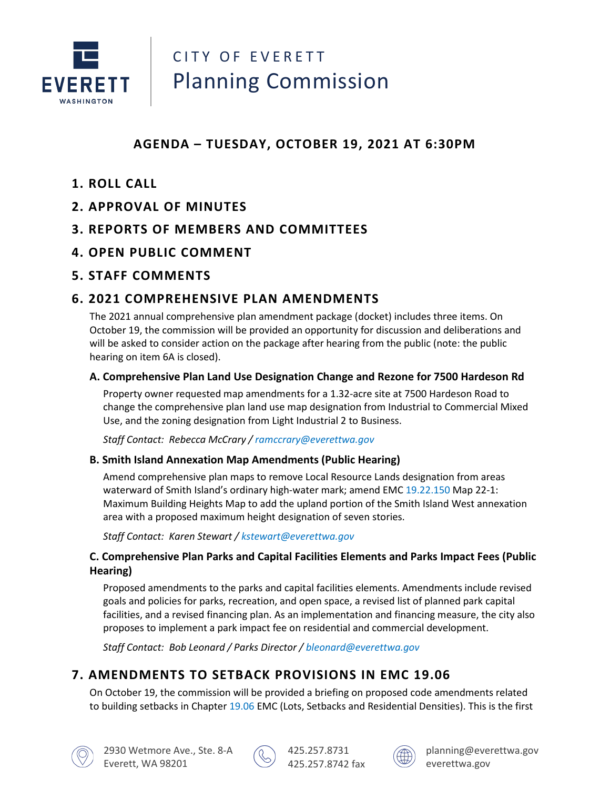

# CITY OF EVERETT Planning Commission

## **AGENDA – TUESDAY, OCTOBER 19, 2021 AT 6:30PM**

- **1. ROLL CALL**
- **2. APPROVAL OF MINUTES**
- **3. REPORTS OF MEMBERS AND COMMITTEES**
- **4. OPEN PUBLIC COMMENT**
- **5. STAFF COMMENTS**

## **6. 2021 COMPREHENSIVE PLAN AMENDMENTS**

The 2021 annual comprehensive plan amendment package (docket) includes three items. On October 19, the commission will be provided an opportunity for discussion and deliberations and will be asked to consider action on the package after hearing from the public (note: the public hearing on item 6A is closed).

#### **A. Comprehensive Plan Land Use Designation Change and Rezone for 7500 Hardeson Rd**

Property owner requested map amendments for a 1.32-acre site at 7500 Hardeson Road to change the comprehensive plan land use map designation from Industrial to Commercial Mixed Use, and the zoning designation from Light Industrial 2 to Business.

*Staff Contact: Rebecca McCrary / [ramccrary@everettwa.gov](mailto:ramccrary@everettwa.gov)*

#### **B. Smith Island Annexation Map Amendments (Public Hearing)**

Amend comprehensive plan maps to remove Local Resource Lands designation from areas waterward of Smith Island's ordinary high-water mark; amend EMC [19.22.150](https://everett.municipal.codes/EMC/19.22.150) Map 22-1: Maximum Building Heights Map to add the upland portion of the Smith Island West annexation area with a proposed maximum height designation of seven stories.

*Staff Contact: Karen Stewart / [kstewart@everettwa.gov](mailto:kstewart@everettwa.gov)*

#### **C. Comprehensive Plan Parks and Capital Facilities Elements and Parks Impact Fees (Public Hearing)**

Proposed amendments to the parks and capital facilities elements. Amendments include revised goals and policies for parks, recreation, and open space, a revised list of planned park capital facilities, and a revised financing plan. As an implementation and financing measure, the city also proposes to implement a park impact fee on residential and commercial development.

*Staff Contact: Bob Leonard / Parks Director / [bleonard@everettwa.gov](mailto:bleonard@everettwa.gov)*

## **7. AMENDMENTS TO SETBACK PROVISIONS IN EMC 19.06**

On October 19, the commission will be provided a briefing on proposed code amendments related to building setbacks in Chapter [19.06](https://everett.municipal.codes/EMC/19.06) EMC (Lots, Setbacks and Residential Densities). This is the first